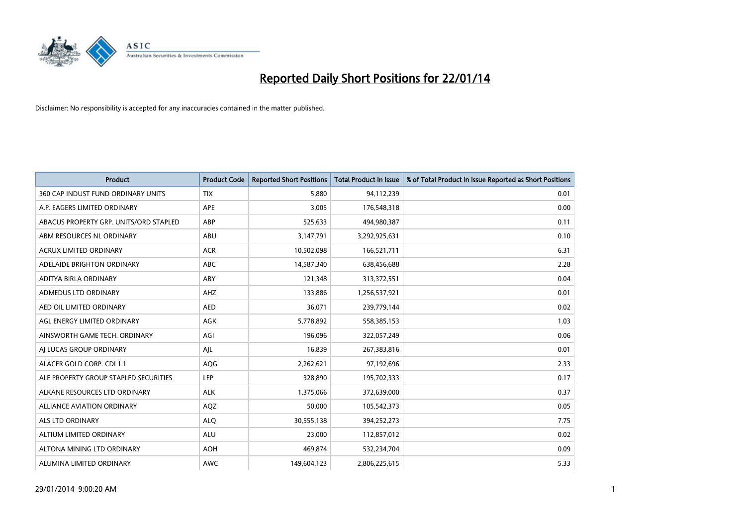

| <b>Product</b>                         | <b>Product Code</b> | <b>Reported Short Positions</b> | <b>Total Product in Issue</b> | % of Total Product in Issue Reported as Short Positions |
|----------------------------------------|---------------------|---------------------------------|-------------------------------|---------------------------------------------------------|
| 360 CAP INDUST FUND ORDINARY UNITS     | <b>TIX</b>          | 5,880                           | 94,112,239                    | 0.01                                                    |
| A.P. EAGERS LIMITED ORDINARY           | APE                 | 3,005                           | 176,548,318                   | 0.00                                                    |
| ABACUS PROPERTY GRP. UNITS/ORD STAPLED | ABP                 | 525,633                         | 494,980,387                   | 0.11                                                    |
| ABM RESOURCES NL ORDINARY              | ABU                 | 3,147,791                       | 3,292,925,631                 | 0.10                                                    |
| <b>ACRUX LIMITED ORDINARY</b>          | <b>ACR</b>          | 10,502,098                      | 166,521,711                   | 6.31                                                    |
| ADELAIDE BRIGHTON ORDINARY             | <b>ABC</b>          | 14,587,340                      | 638,456,688                   | 2.28                                                    |
| ADITYA BIRLA ORDINARY                  | ABY                 | 121,348                         | 313,372,551                   | 0.04                                                    |
| ADMEDUS LTD ORDINARY                   | AHZ                 | 133,886                         | 1,256,537,921                 | 0.01                                                    |
| AED OIL LIMITED ORDINARY               | <b>AED</b>          | 36,071                          | 239,779,144                   | 0.02                                                    |
| AGL ENERGY LIMITED ORDINARY            | <b>AGK</b>          | 5,778,892                       | 558,385,153                   | 1.03                                                    |
| AINSWORTH GAME TECH. ORDINARY          | AGI                 | 196,096                         | 322,057,249                   | 0.06                                                    |
| AI LUCAS GROUP ORDINARY                | AJL                 | 16,839                          | 267,383,816                   | 0.01                                                    |
| ALACER GOLD CORP. CDI 1:1              | AQG                 | 2,262,621                       | 97,192,696                    | 2.33                                                    |
| ALE PROPERTY GROUP STAPLED SECURITIES  | LEP                 | 328,890                         | 195,702,333                   | 0.17                                                    |
| ALKANE RESOURCES LTD ORDINARY          | <b>ALK</b>          | 1,375,066                       | 372,639,000                   | 0.37                                                    |
| ALLIANCE AVIATION ORDINARY             | AQZ                 | 50,000                          | 105,542,373                   | 0.05                                                    |
| ALS LTD ORDINARY                       | <b>ALQ</b>          | 30,555,138                      | 394,252,273                   | 7.75                                                    |
| ALTIUM LIMITED ORDINARY                | ALU                 | 23,000                          | 112,857,012                   | 0.02                                                    |
| ALTONA MINING LTD ORDINARY             | <b>AOH</b>          | 469,874                         | 532,234,704                   | 0.09                                                    |
| ALUMINA LIMITED ORDINARY               | <b>AWC</b>          | 149,604,123                     | 2,806,225,615                 | 5.33                                                    |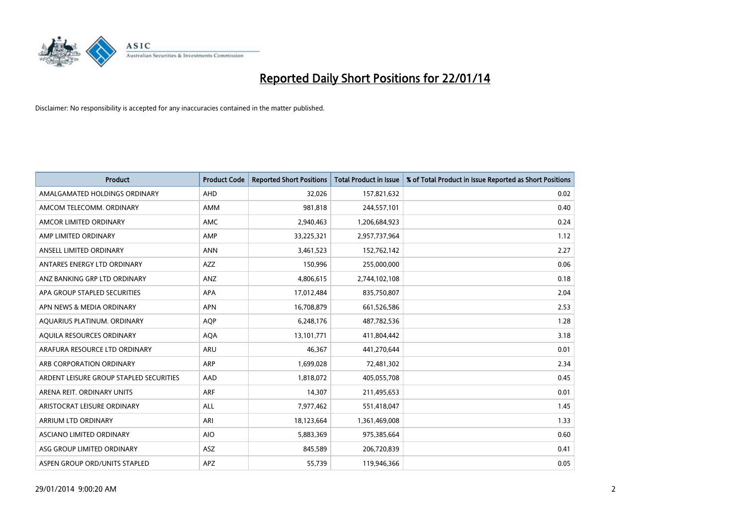

| <b>Product</b>                          | <b>Product Code</b> | <b>Reported Short Positions</b> | <b>Total Product in Issue</b> | % of Total Product in Issue Reported as Short Positions |
|-----------------------------------------|---------------------|---------------------------------|-------------------------------|---------------------------------------------------------|
| AMALGAMATED HOLDINGS ORDINARY           | <b>AHD</b>          | 32,026                          | 157,821,632                   | 0.02                                                    |
| AMCOM TELECOMM. ORDINARY                | AMM                 | 981,818                         | 244,557,101                   | 0.40                                                    |
| AMCOR LIMITED ORDINARY                  | AMC                 | 2,940,463                       | 1,206,684,923                 | 0.24                                                    |
| AMP LIMITED ORDINARY                    | AMP                 | 33,225,321                      | 2,957,737,964                 | 1.12                                                    |
| ANSELL LIMITED ORDINARY                 | <b>ANN</b>          | 3,461,523                       | 152,762,142                   | 2.27                                                    |
| ANTARES ENERGY LTD ORDINARY             | AZZ                 | 150,996                         | 255,000,000                   | 0.06                                                    |
| ANZ BANKING GRP LTD ORDINARY            | <b>ANZ</b>          | 4,806,615                       | 2,744,102,108                 | 0.18                                                    |
| APA GROUP STAPLED SECURITIES            | APA                 | 17,012,484                      | 835,750,807                   | 2.04                                                    |
| APN NEWS & MEDIA ORDINARY               | <b>APN</b>          | 16,708,879                      | 661,526,586                   | 2.53                                                    |
| AQUARIUS PLATINUM. ORDINARY             | <b>AOP</b>          | 6,248,176                       | 487,782,536                   | 1.28                                                    |
| AQUILA RESOURCES ORDINARY               | <b>AQA</b>          | 13,101,771                      | 411,804,442                   | 3.18                                                    |
| ARAFURA RESOURCE LTD ORDINARY           | ARU                 | 46,367                          | 441,270,644                   | 0.01                                                    |
| ARB CORPORATION ORDINARY                | <b>ARP</b>          | 1,699,028                       | 72,481,302                    | 2.34                                                    |
| ARDENT LEISURE GROUP STAPLED SECURITIES | AAD                 | 1,818,072                       | 405,055,708                   | 0.45                                                    |
| ARENA REIT. ORDINARY UNITS              | <b>ARF</b>          | 14,307                          | 211,495,653                   | 0.01                                                    |
| ARISTOCRAT LEISURE ORDINARY             | ALL                 | 7,977,462                       | 551,418,047                   | 1.45                                                    |
| ARRIUM LTD ORDINARY                     | ARI                 | 18,123,664                      | 1,361,469,008                 | 1.33                                                    |
| ASCIANO LIMITED ORDINARY                | <b>AIO</b>          | 5,883,369                       | 975,385,664                   | 0.60                                                    |
| ASG GROUP LIMITED ORDINARY              | <b>ASZ</b>          | 845,589                         | 206,720,839                   | 0.41                                                    |
| ASPEN GROUP ORD/UNITS STAPLED           | APZ                 | 55,739                          | 119,946,366                   | 0.05                                                    |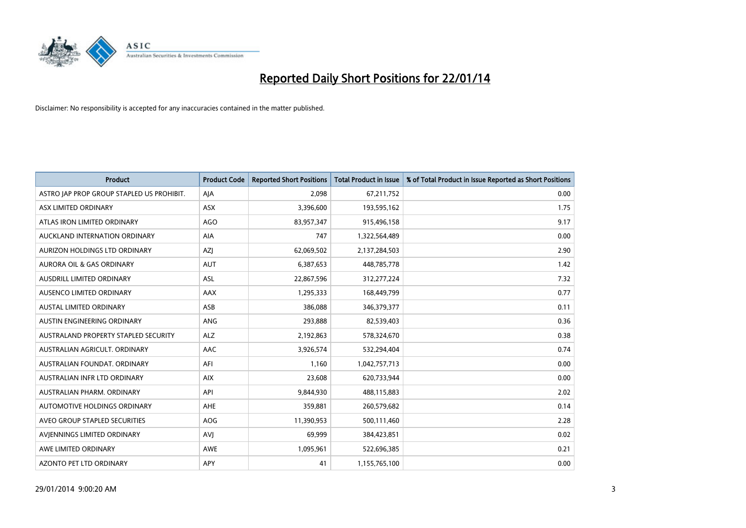

| <b>Product</b>                            | <b>Product Code</b> | <b>Reported Short Positions</b> | <b>Total Product in Issue</b> | % of Total Product in Issue Reported as Short Positions |
|-------------------------------------------|---------------------|---------------------------------|-------------------------------|---------------------------------------------------------|
| ASTRO JAP PROP GROUP STAPLED US PROHIBIT. | AJA                 | 2,098                           | 67,211,752                    | 0.00                                                    |
| ASX LIMITED ORDINARY                      | ASX                 | 3,396,600                       | 193,595,162                   | 1.75                                                    |
| ATLAS IRON LIMITED ORDINARY               | <b>AGO</b>          | 83,957,347                      | 915,496,158                   | 9.17                                                    |
| AUCKLAND INTERNATION ORDINARY             | AIA                 | 747                             | 1,322,564,489                 | 0.00                                                    |
| AURIZON HOLDINGS LTD ORDINARY             | AZJ                 | 62,069,502                      | 2,137,284,503                 | 2.90                                                    |
| <b>AURORA OIL &amp; GAS ORDINARY</b>      | <b>AUT</b>          | 6,387,653                       | 448,785,778                   | 1.42                                                    |
| AUSDRILL LIMITED ORDINARY                 | ASL                 | 22,867,596                      | 312,277,224                   | 7.32                                                    |
| AUSENCO LIMITED ORDINARY                  | AAX                 | 1,295,333                       | 168,449,799                   | 0.77                                                    |
| AUSTAL LIMITED ORDINARY                   | ASB                 | 386,088                         | 346,379,377                   | 0.11                                                    |
| AUSTIN ENGINEERING ORDINARY               | ANG                 | 293,888                         | 82,539,403                    | 0.36                                                    |
| AUSTRALAND PROPERTY STAPLED SECURITY      | <b>ALZ</b>          | 2,192,863                       | 578,324,670                   | 0.38                                                    |
| AUSTRALIAN AGRICULT, ORDINARY             | AAC                 | 3,926,574                       | 532,294,404                   | 0.74                                                    |
| AUSTRALIAN FOUNDAT. ORDINARY              | AFI                 | 1,160                           | 1,042,757,713                 | 0.00                                                    |
| AUSTRALIAN INFR LTD ORDINARY              | <b>AIX</b>          | 23,608                          | 620,733,944                   | 0.00                                                    |
| AUSTRALIAN PHARM, ORDINARY                | API                 | 9,844,930                       | 488,115,883                   | 2.02                                                    |
| AUTOMOTIVE HOLDINGS ORDINARY              | AHE                 | 359,881                         | 260,579,682                   | 0.14                                                    |
| AVEO GROUP STAPLED SECURITIES             | AOG                 | 11,390,953                      | 500,111,460                   | 2.28                                                    |
| AVIENNINGS LIMITED ORDINARY               | <b>AVJ</b>          | 69,999                          | 384,423,851                   | 0.02                                                    |
| AWE LIMITED ORDINARY                      | <b>AWE</b>          | 1,095,961                       | 522,696,385                   | 0.21                                                    |
| AZONTO PET LTD ORDINARY                   | APY                 | 41                              | 1,155,765,100                 | 0.00                                                    |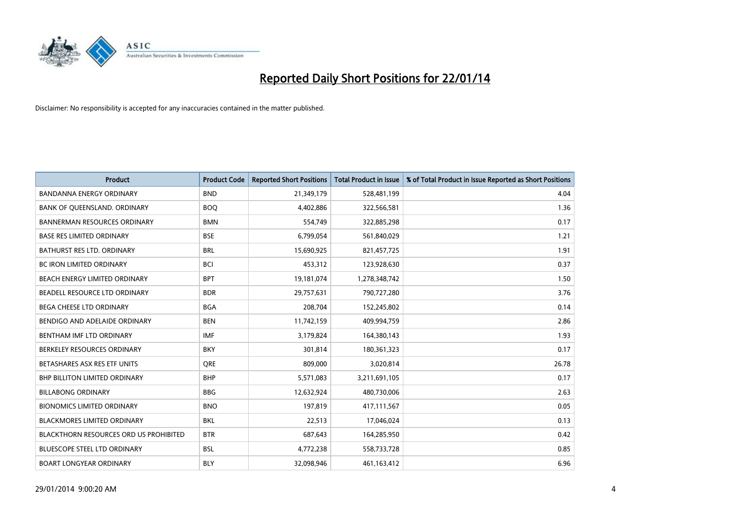

| <b>Product</b>                         | <b>Product Code</b> | <b>Reported Short Positions</b> | <b>Total Product in Issue</b> | % of Total Product in Issue Reported as Short Positions |
|----------------------------------------|---------------------|---------------------------------|-------------------------------|---------------------------------------------------------|
| <b>BANDANNA ENERGY ORDINARY</b>        | <b>BND</b>          | 21,349,179                      | 528,481,199                   | 4.04                                                    |
| BANK OF QUEENSLAND. ORDINARY           | <b>BOQ</b>          | 4,402,886                       | 322,566,581                   | 1.36                                                    |
| <b>BANNERMAN RESOURCES ORDINARY</b>    | <b>BMN</b>          | 554,749                         | 322,885,298                   | 0.17                                                    |
| <b>BASE RES LIMITED ORDINARY</b>       | <b>BSE</b>          | 6,799,054                       | 561,840,029                   | 1.21                                                    |
| <b>BATHURST RES LTD. ORDINARY</b>      | <b>BRL</b>          | 15,690,925                      | 821,457,725                   | 1.91                                                    |
| <b>BC IRON LIMITED ORDINARY</b>        | <b>BCI</b>          | 453,312                         | 123,928,630                   | 0.37                                                    |
| BEACH ENERGY LIMITED ORDINARY          | <b>BPT</b>          | 19,181,074                      | 1,278,348,742                 | 1.50                                                    |
| BEADELL RESOURCE LTD ORDINARY          | <b>BDR</b>          | 29,757,631                      | 790,727,280                   | 3.76                                                    |
| BEGA CHEESE LTD ORDINARY               | <b>BGA</b>          | 208,704                         | 152,245,802                   | 0.14                                                    |
| BENDIGO AND ADELAIDE ORDINARY          | <b>BEN</b>          | 11,742,159                      | 409,994,759                   | 2.86                                                    |
| BENTHAM IMF LTD ORDINARY               | IMF                 | 3,179,824                       | 164,380,143                   | 1.93                                                    |
| BERKELEY RESOURCES ORDINARY            | <b>BKY</b>          | 301,814                         | 180,361,323                   | 0.17                                                    |
| BETASHARES ASX RES ETF UNITS           | <b>ORE</b>          | 809,000                         | 3,020,814                     | 26.78                                                   |
| <b>BHP BILLITON LIMITED ORDINARY</b>   | <b>BHP</b>          | 5,571,083                       | 3,211,691,105                 | 0.17                                                    |
| <b>BILLABONG ORDINARY</b>              | <b>BBG</b>          | 12,632,924                      | 480,730,006                   | 2.63                                                    |
| <b>BIONOMICS LIMITED ORDINARY</b>      | <b>BNO</b>          | 197,819                         | 417,111,567                   | 0.05                                                    |
| <b>BLACKMORES LIMITED ORDINARY</b>     | <b>BKL</b>          | 22,513                          | 17,046,024                    | 0.13                                                    |
| BLACKTHORN RESOURCES ORD US PROHIBITED | <b>BTR</b>          | 687,643                         | 164,285,950                   | 0.42                                                    |
| <b>BLUESCOPE STEEL LTD ORDINARY</b>    | <b>BSL</b>          | 4,772,238                       | 558,733,728                   | 0.85                                                    |
| <b>BOART LONGYEAR ORDINARY</b>         | <b>BLY</b>          | 32,098,946                      | 461,163,412                   | 6.96                                                    |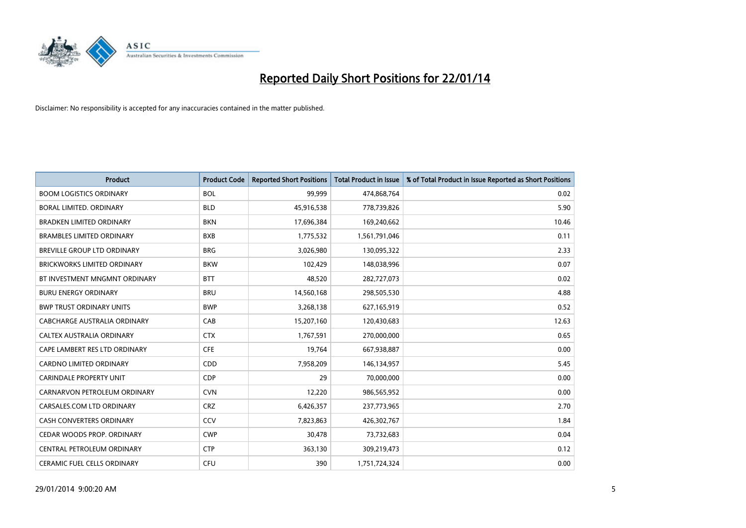

| <b>Product</b>                     | <b>Product Code</b> | <b>Reported Short Positions</b> | <b>Total Product in Issue</b> | % of Total Product in Issue Reported as Short Positions |
|------------------------------------|---------------------|---------------------------------|-------------------------------|---------------------------------------------------------|
| <b>BOOM LOGISTICS ORDINARY</b>     | <b>BOL</b>          | 99,999                          | 474,868,764                   | 0.02                                                    |
| <b>BORAL LIMITED, ORDINARY</b>     | <b>BLD</b>          | 45,916,538                      | 778,739,826                   | 5.90                                                    |
| <b>BRADKEN LIMITED ORDINARY</b>    | <b>BKN</b>          | 17,696,384                      | 169,240,662                   | 10.46                                                   |
| <b>BRAMBLES LIMITED ORDINARY</b>   | <b>BXB</b>          | 1,775,532                       | 1,561,791,046                 | 0.11                                                    |
| BREVILLE GROUP LTD ORDINARY        | <b>BRG</b>          | 3,026,980                       | 130,095,322                   | 2.33                                                    |
| <b>BRICKWORKS LIMITED ORDINARY</b> | <b>BKW</b>          | 102,429                         | 148,038,996                   | 0.07                                                    |
| BT INVESTMENT MNGMNT ORDINARY      | <b>BTT</b>          | 48,520                          | 282,727,073                   | 0.02                                                    |
| <b>BURU ENERGY ORDINARY</b>        | <b>BRU</b>          | 14,560,168                      | 298,505,530                   | 4.88                                                    |
| <b>BWP TRUST ORDINARY UNITS</b>    | <b>BWP</b>          | 3,268,138                       | 627,165,919                   | 0.52                                                    |
| CABCHARGE AUSTRALIA ORDINARY       | CAB                 | 15,207,160                      | 120,430,683                   | 12.63                                                   |
| CALTEX AUSTRALIA ORDINARY          | <b>CTX</b>          | 1,767,591                       | 270,000,000                   | 0.65                                                    |
| CAPE LAMBERT RES LTD ORDINARY      | <b>CFE</b>          | 19,764                          | 667,938,887                   | 0.00                                                    |
| CARDNO LIMITED ORDINARY            | CDD                 | 7,958,209                       | 146,134,957                   | 5.45                                                    |
| <b>CARINDALE PROPERTY UNIT</b>     | <b>CDP</b>          | 29                              | 70,000,000                    | 0.00                                                    |
| CARNARVON PETROLEUM ORDINARY       | <b>CVN</b>          | 12,220                          | 986,565,952                   | 0.00                                                    |
| CARSALES.COM LTD ORDINARY          | <b>CRZ</b>          | 6,426,357                       | 237,773,965                   | 2.70                                                    |
| <b>CASH CONVERTERS ORDINARY</b>    | CCV                 | 7,823,863                       | 426,302,767                   | 1.84                                                    |
| CEDAR WOODS PROP. ORDINARY         | <b>CWP</b>          | 30,478                          | 73,732,683                    | 0.04                                                    |
| CENTRAL PETROLEUM ORDINARY         | <b>CTP</b>          | 363,130                         | 309,219,473                   | 0.12                                                    |
| CERAMIC FUEL CELLS ORDINARY        | <b>CFU</b>          | 390                             | 1,751,724,324                 | 0.00                                                    |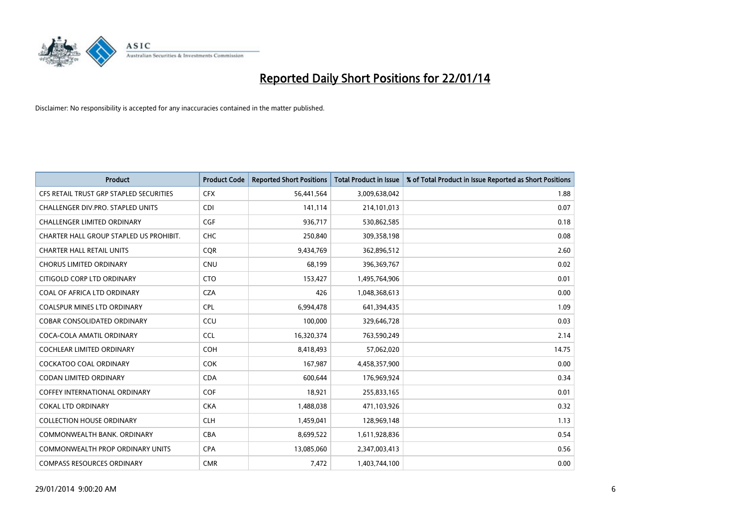

| <b>Product</b>                          | <b>Product Code</b> | <b>Reported Short Positions</b> | <b>Total Product in Issue</b> | % of Total Product in Issue Reported as Short Positions |
|-----------------------------------------|---------------------|---------------------------------|-------------------------------|---------------------------------------------------------|
| CFS RETAIL TRUST GRP STAPLED SECURITIES | <b>CFX</b>          | 56,441,564                      | 3,009,638,042                 | 1.88                                                    |
| CHALLENGER DIV.PRO. STAPLED UNITS       | <b>CDI</b>          | 141,114                         | 214,101,013                   | 0.07                                                    |
| CHALLENGER LIMITED ORDINARY             | <b>CGF</b>          | 936,717                         | 530,862,585                   | 0.18                                                    |
| CHARTER HALL GROUP STAPLED US PROHIBIT. | <b>CHC</b>          | 250,840                         | 309,358,198                   | 0.08                                                    |
| <b>CHARTER HALL RETAIL UNITS</b>        | <b>COR</b>          | 9,434,769                       | 362,896,512                   | 2.60                                                    |
| <b>CHORUS LIMITED ORDINARY</b>          | <b>CNU</b>          | 68,199                          | 396,369,767                   | 0.02                                                    |
| CITIGOLD CORP LTD ORDINARY              | <b>CTO</b>          | 153,427                         | 1,495,764,906                 | 0.01                                                    |
| COAL OF AFRICA LTD ORDINARY             | <b>CZA</b>          | 426                             | 1,048,368,613                 | 0.00                                                    |
| <b>COALSPUR MINES LTD ORDINARY</b>      | <b>CPL</b>          | 6,994,478                       | 641,394,435                   | 1.09                                                    |
| <b>COBAR CONSOLIDATED ORDINARY</b>      | CCU                 | 100,000                         | 329,646,728                   | 0.03                                                    |
| COCA-COLA AMATIL ORDINARY               | <b>CCL</b>          | 16,320,374                      | 763,590,249                   | 2.14                                                    |
| COCHLEAR LIMITED ORDINARY               | <b>COH</b>          | 8,418,493                       | 57,062,020                    | 14.75                                                   |
| <b>COCKATOO COAL ORDINARY</b>           | <b>COK</b>          | 167,987                         | 4,458,357,900                 | 0.00                                                    |
| <b>CODAN LIMITED ORDINARY</b>           | <b>CDA</b>          | 600,644                         | 176,969,924                   | 0.34                                                    |
| COFFEY INTERNATIONAL ORDINARY           | <b>COF</b>          | 18,921                          | 255,833,165                   | 0.01                                                    |
| <b>COKAL LTD ORDINARY</b>               | <b>CKA</b>          | 1,488,038                       | 471,103,926                   | 0.32                                                    |
| <b>COLLECTION HOUSE ORDINARY</b>        | <b>CLH</b>          | 1,459,041                       | 128,969,148                   | 1.13                                                    |
| COMMONWEALTH BANK, ORDINARY             | <b>CBA</b>          | 8,699,522                       | 1,611,928,836                 | 0.54                                                    |
| COMMONWEALTH PROP ORDINARY UNITS        | <b>CPA</b>          | 13,085,060                      | 2,347,003,413                 | 0.56                                                    |
| <b>COMPASS RESOURCES ORDINARY</b>       | <b>CMR</b>          | 7,472                           | 1,403,744,100                 | 0.00                                                    |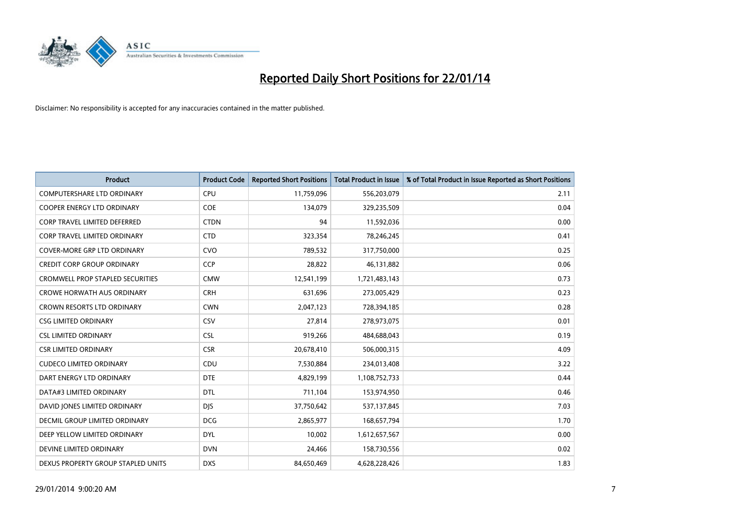

| <b>Product</b>                      | <b>Product Code</b> | <b>Reported Short Positions</b> | <b>Total Product in Issue</b> | % of Total Product in Issue Reported as Short Positions |
|-------------------------------------|---------------------|---------------------------------|-------------------------------|---------------------------------------------------------|
| <b>COMPUTERSHARE LTD ORDINARY</b>   | <b>CPU</b>          | 11,759,096                      | 556,203,079                   | 2.11                                                    |
| COOPER ENERGY LTD ORDINARY          | <b>COE</b>          | 134,079                         | 329,235,509                   | 0.04                                                    |
| <b>CORP TRAVEL LIMITED DEFERRED</b> | <b>CTDN</b>         | 94                              | 11,592,036                    | 0.00                                                    |
| CORP TRAVEL LIMITED ORDINARY        | <b>CTD</b>          | 323,354                         | 78,246,245                    | 0.41                                                    |
| <b>COVER-MORE GRP LTD ORDINARY</b>  | <b>CVO</b>          | 789,532                         | 317,750,000                   | 0.25                                                    |
| <b>CREDIT CORP GROUP ORDINARY</b>   | CCP                 | 28,822                          | 46,131,882                    | 0.06                                                    |
| CROMWELL PROP STAPLED SECURITIES    | <b>CMW</b>          | 12,541,199                      | 1,721,483,143                 | 0.73                                                    |
| <b>CROWE HORWATH AUS ORDINARY</b>   | <b>CRH</b>          | 631,696                         | 273,005,429                   | 0.23                                                    |
| <b>CROWN RESORTS LTD ORDINARY</b>   | <b>CWN</b>          | 2,047,123                       | 728,394,185                   | 0.28                                                    |
| <b>CSG LIMITED ORDINARY</b>         | CSV                 | 27,814                          | 278,973,075                   | 0.01                                                    |
| <b>CSL LIMITED ORDINARY</b>         | <b>CSL</b>          | 919,266                         | 484,688,043                   | 0.19                                                    |
| <b>CSR LIMITED ORDINARY</b>         | <b>CSR</b>          | 20,678,410                      | 506,000,315                   | 4.09                                                    |
| <b>CUDECO LIMITED ORDINARY</b>      | CDU                 | 7,530,884                       | 234,013,408                   | 3.22                                                    |
| DART ENERGY LTD ORDINARY            | <b>DTE</b>          | 4,829,199                       | 1,108,752,733                 | 0.44                                                    |
| DATA#3 LIMITED ORDINARY             | <b>DTL</b>          | 711,104                         | 153,974,950                   | 0.46                                                    |
| DAVID JONES LIMITED ORDINARY        | <b>DIS</b>          | 37,750,642                      | 537,137,845                   | 7.03                                                    |
| DECMIL GROUP LIMITED ORDINARY       | <b>DCG</b>          | 2,865,977                       | 168,657,794                   | 1.70                                                    |
| DEEP YELLOW LIMITED ORDINARY        | <b>DYL</b>          | 10,002                          | 1,612,657,567                 | 0.00                                                    |
| DEVINE LIMITED ORDINARY             | <b>DVN</b>          | 24,466                          | 158,730,556                   | 0.02                                                    |
| DEXUS PROPERTY GROUP STAPLED UNITS  | <b>DXS</b>          | 84,650,469                      | 4,628,228,426                 | 1.83                                                    |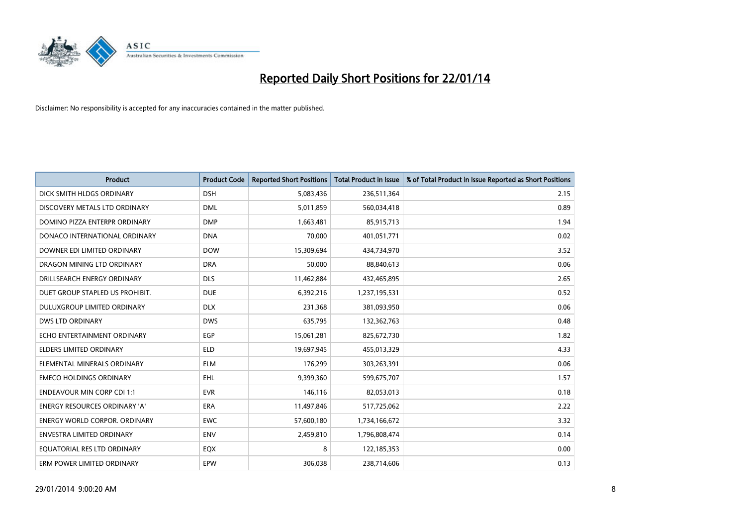

| <b>Product</b>                       | <b>Product Code</b> | <b>Reported Short Positions</b> | <b>Total Product in Issue</b> | % of Total Product in Issue Reported as Short Positions |
|--------------------------------------|---------------------|---------------------------------|-------------------------------|---------------------------------------------------------|
| DICK SMITH HLDGS ORDINARY            | <b>DSH</b>          | 5,083,436                       | 236,511,364                   | 2.15                                                    |
| DISCOVERY METALS LTD ORDINARY        | <b>DML</b>          | 5,011,859                       | 560,034,418                   | 0.89                                                    |
| DOMINO PIZZA ENTERPR ORDINARY        | <b>DMP</b>          | 1,663,481                       | 85,915,713                    | 1.94                                                    |
| DONACO INTERNATIONAL ORDINARY        | <b>DNA</b>          | 70,000                          | 401,051,771                   | 0.02                                                    |
| DOWNER EDI LIMITED ORDINARY          | <b>DOW</b>          | 15,309,694                      | 434,734,970                   | 3.52                                                    |
| DRAGON MINING LTD ORDINARY           | <b>DRA</b>          | 50,000                          | 88,840,613                    | 0.06                                                    |
| DRILLSEARCH ENERGY ORDINARY          | <b>DLS</b>          | 11,462,884                      | 432,465,895                   | 2.65                                                    |
| DUET GROUP STAPLED US PROHIBIT.      | <b>DUE</b>          | 6,392,216                       | 1,237,195,531                 | 0.52                                                    |
| DULUXGROUP LIMITED ORDINARY          | <b>DLX</b>          | 231,368                         | 381,093,950                   | 0.06                                                    |
| DWS LTD ORDINARY                     | <b>DWS</b>          | 635,795                         | 132,362,763                   | 0.48                                                    |
| ECHO ENTERTAINMENT ORDINARY          | <b>EGP</b>          | 15,061,281                      | 825,672,730                   | 1.82                                                    |
| <b>ELDERS LIMITED ORDINARY</b>       | <b>ELD</b>          | 19,697,945                      | 455,013,329                   | 4.33                                                    |
| ELEMENTAL MINERALS ORDINARY          | <b>ELM</b>          | 176,299                         | 303,263,391                   | 0.06                                                    |
| <b>EMECO HOLDINGS ORDINARY</b>       | <b>EHL</b>          | 9,399,360                       | 599,675,707                   | 1.57                                                    |
| <b>ENDEAVOUR MIN CORP CDI 1:1</b>    | <b>EVR</b>          | 146,116                         | 82,053,013                    | 0.18                                                    |
| <b>ENERGY RESOURCES ORDINARY 'A'</b> | ERA                 | 11,497,846                      | 517,725,062                   | 2.22                                                    |
| <b>ENERGY WORLD CORPOR. ORDINARY</b> | <b>EWC</b>          | 57,600,180                      | 1,734,166,672                 | 3.32                                                    |
| ENVESTRA LIMITED ORDINARY            | <b>ENV</b>          | 2,459,810                       | 1,796,808,474                 | 0.14                                                    |
| EQUATORIAL RES LTD ORDINARY          | EQX                 | 8                               | 122,185,353                   | 0.00                                                    |
| ERM POWER LIMITED ORDINARY           | EPW                 | 306,038                         | 238,714,606                   | 0.13                                                    |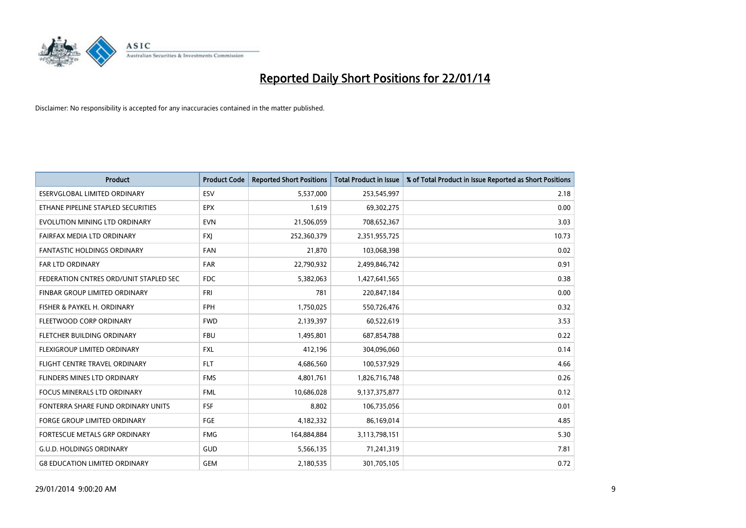

| <b>Product</b>                         | <b>Product Code</b> | <b>Reported Short Positions</b> | <b>Total Product in Issue</b> | % of Total Product in Issue Reported as Short Positions |
|----------------------------------------|---------------------|---------------------------------|-------------------------------|---------------------------------------------------------|
| <b>ESERVGLOBAL LIMITED ORDINARY</b>    | ESV                 | 5,537,000                       | 253,545,997                   | 2.18                                                    |
| ETHANE PIPELINE STAPLED SECURITIES     | <b>EPX</b>          | 1,619                           | 69,302,275                    | 0.00                                                    |
| EVOLUTION MINING LTD ORDINARY          | <b>EVN</b>          | 21,506,059                      | 708,652,367                   | 3.03                                                    |
| FAIRFAX MEDIA LTD ORDINARY             | FXJ                 | 252,360,379                     | 2,351,955,725                 | 10.73                                                   |
| <b>FANTASTIC HOLDINGS ORDINARY</b>     | <b>FAN</b>          | 21,870                          | 103,068,398                   | 0.02                                                    |
| <b>FAR LTD ORDINARY</b>                | <b>FAR</b>          | 22,790,932                      | 2,499,846,742                 | 0.91                                                    |
| FEDERATION CNTRES ORD/UNIT STAPLED SEC | FDC                 | 5,382,063                       | 1,427,641,565                 | 0.38                                                    |
| FINBAR GROUP LIMITED ORDINARY          | <b>FRI</b>          | 781                             | 220,847,184                   | 0.00                                                    |
| FISHER & PAYKEL H. ORDINARY            | <b>FPH</b>          | 1,750,025                       | 550,726,476                   | 0.32                                                    |
| FLEETWOOD CORP ORDINARY                | <b>FWD</b>          | 2,139,397                       | 60,522,619                    | 3.53                                                    |
| FLETCHER BUILDING ORDINARY             | <b>FBU</b>          | 1,495,801                       | 687,854,788                   | 0.22                                                    |
| FLEXIGROUP LIMITED ORDINARY            | FXL                 | 412,196                         | 304,096,060                   | 0.14                                                    |
| FLIGHT CENTRE TRAVEL ORDINARY          | <b>FLT</b>          | 4,686,560                       | 100,537,929                   | 4.66                                                    |
| <b>FLINDERS MINES LTD ORDINARY</b>     | <b>FMS</b>          | 4,801,761                       | 1,826,716,748                 | 0.26                                                    |
| <b>FOCUS MINERALS LTD ORDINARY</b>     | <b>FML</b>          | 10,686,028                      | 9,137,375,877                 | 0.12                                                    |
| FONTERRA SHARE FUND ORDINARY UNITS     | <b>FSF</b>          | 8,802                           | 106,735,056                   | 0.01                                                    |
| FORGE GROUP LIMITED ORDINARY           | FGE                 | 4,182,332                       | 86,169,014                    | 4.85                                                    |
| FORTESCUE METALS GRP ORDINARY          | <b>FMG</b>          | 164,884,884                     | 3,113,798,151                 | 5.30                                                    |
| <b>G.U.D. HOLDINGS ORDINARY</b>        | GUD                 | 5,566,135                       | 71,241,319                    | 7.81                                                    |
| <b>G8 EDUCATION LIMITED ORDINARY</b>   | <b>GEM</b>          | 2,180,535                       | 301,705,105                   | 0.72                                                    |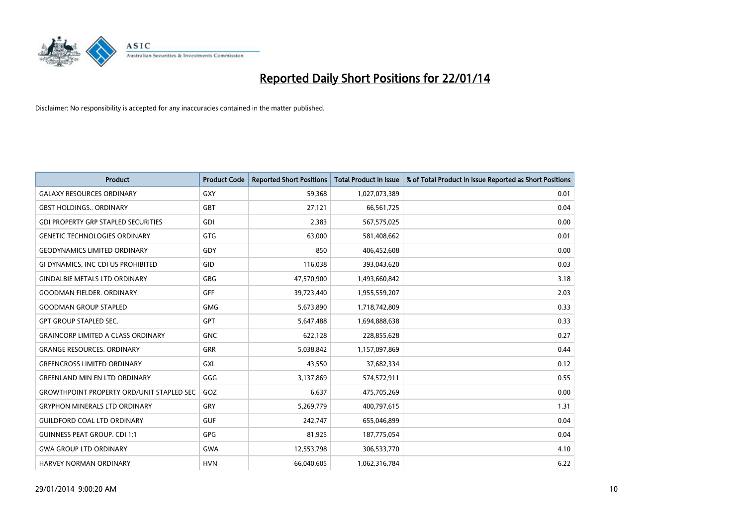

| <b>Product</b>                                   | <b>Product Code</b> | <b>Reported Short Positions</b> | <b>Total Product in Issue</b> | % of Total Product in Issue Reported as Short Positions |
|--------------------------------------------------|---------------------|---------------------------------|-------------------------------|---------------------------------------------------------|
| <b>GALAXY RESOURCES ORDINARY</b>                 | <b>GXY</b>          | 59,368                          | 1,027,073,389                 | 0.01                                                    |
| <b>GBST HOLDINGS ORDINARY</b>                    | <b>GBT</b>          | 27,121                          | 66,561,725                    | 0.04                                                    |
| <b>GDI PROPERTY GRP STAPLED SECURITIES</b>       | GDI                 | 2,383                           | 567,575,025                   | 0.00                                                    |
| <b>GENETIC TECHNOLOGIES ORDINARY</b>             | <b>GTG</b>          | 63.000                          | 581,408,662                   | 0.01                                                    |
| <b>GEODYNAMICS LIMITED ORDINARY</b>              | GDY                 | 850                             | 406,452,608                   | 0.00                                                    |
| GI DYNAMICS, INC CDI US PROHIBITED               | GID                 | 116,038                         | 393,043,620                   | 0.03                                                    |
| <b>GINDALBIE METALS LTD ORDINARY</b>             | <b>GBG</b>          | 47,570,900                      | 1,493,660,842                 | 3.18                                                    |
| <b>GOODMAN FIELDER, ORDINARY</b>                 | GFF                 | 39,723,440                      | 1,955,559,207                 | 2.03                                                    |
| <b>GOODMAN GROUP STAPLED</b>                     | <b>GMG</b>          | 5,673,890                       | 1,718,742,809                 | 0.33                                                    |
| <b>GPT GROUP STAPLED SEC.</b>                    | GPT                 | 5,647,488                       | 1,694,888,638                 | 0.33                                                    |
| <b>GRAINCORP LIMITED A CLASS ORDINARY</b>        | <b>GNC</b>          | 622,128                         | 228,855,628                   | 0.27                                                    |
| <b>GRANGE RESOURCES, ORDINARY</b>                | <b>GRR</b>          | 5,038,842                       | 1,157,097,869                 | 0.44                                                    |
| <b>GREENCROSS LIMITED ORDINARY</b>               | GXL                 | 43,550                          | 37,682,334                    | 0.12                                                    |
| <b>GREENLAND MIN EN LTD ORDINARY</b>             | GGG                 | 3,137,869                       | 574,572,911                   | 0.55                                                    |
| <b>GROWTHPOINT PROPERTY ORD/UNIT STAPLED SEC</b> | GOZ                 | 6,637                           | 475,705,269                   | 0.00                                                    |
| <b>GRYPHON MINERALS LTD ORDINARY</b>             | GRY                 | 5,269,779                       | 400,797,615                   | 1.31                                                    |
| <b>GUILDFORD COAL LTD ORDINARY</b>               | <b>GUF</b>          | 242,747                         | 655,046,899                   | 0.04                                                    |
| <b>GUINNESS PEAT GROUP. CDI 1:1</b>              | <b>GPG</b>          | 81,925                          | 187,775,054                   | 0.04                                                    |
| <b>GWA GROUP LTD ORDINARY</b>                    | <b>GWA</b>          | 12,553,798                      | 306,533,770                   | 4.10                                                    |
| <b>HARVEY NORMAN ORDINARY</b>                    | <b>HVN</b>          | 66,040,605                      | 1,062,316,784                 | 6.22                                                    |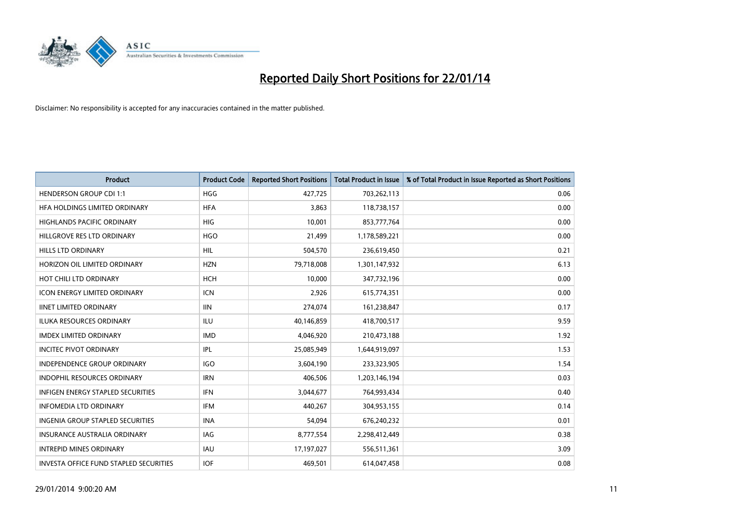

| <b>Product</b>                           | <b>Product Code</b> | <b>Reported Short Positions</b> | <b>Total Product in Issue</b> | % of Total Product in Issue Reported as Short Positions |
|------------------------------------------|---------------------|---------------------------------|-------------------------------|---------------------------------------------------------|
| <b>HENDERSON GROUP CDI 1:1</b>           | <b>HGG</b>          | 427,725                         | 703,262,113                   | 0.06                                                    |
| HFA HOLDINGS LIMITED ORDINARY            | <b>HFA</b>          | 3,863                           | 118,738,157                   | 0.00                                                    |
| <b>HIGHLANDS PACIFIC ORDINARY</b>        | <b>HIG</b>          | 10,001                          | 853,777,764                   | 0.00                                                    |
| HILLGROVE RES LTD ORDINARY               | <b>HGO</b>          | 21,499                          | 1,178,589,221                 | 0.00                                                    |
| <b>HILLS LTD ORDINARY</b>                | HIL                 | 504,570                         | 236,619,450                   | 0.21                                                    |
| HORIZON OIL LIMITED ORDINARY             | <b>HZN</b>          | 79,718,008                      | 1,301,147,932                 | 6.13                                                    |
| HOT CHILI LTD ORDINARY                   | <b>HCH</b>          | 10,000                          | 347,732,196                   | 0.00                                                    |
| ICON ENERGY LIMITED ORDINARY             | <b>ICN</b>          | 2,926                           | 615,774,351                   | 0.00                                                    |
| <b>IINET LIMITED ORDINARY</b>            | <b>IIN</b>          | 274,074                         | 161,238,847                   | 0.17                                                    |
| <b>ILUKA RESOURCES ORDINARY</b>          | ILU                 | 40,146,859                      | 418,700,517                   | 9.59                                                    |
| <b>IMDEX LIMITED ORDINARY</b>            | <b>IMD</b>          | 4,046,920                       | 210,473,188                   | 1.92                                                    |
| <b>INCITEC PIVOT ORDINARY</b>            | IPL                 | 25,085,949                      | 1,644,919,097                 | 1.53                                                    |
| INDEPENDENCE GROUP ORDINARY              | <b>IGO</b>          | 3,604,190                       | 233,323,905                   | 1.54                                                    |
| <b>INDOPHIL RESOURCES ORDINARY</b>       | <b>IRN</b>          | 406,506                         | 1,203,146,194                 | 0.03                                                    |
| <b>INFIGEN ENERGY STAPLED SECURITIES</b> | <b>IFN</b>          | 3,044,677                       | 764,993,434                   | 0.40                                                    |
| INFOMEDIA LTD ORDINARY                   | IFM                 | 440,267                         | 304,953,155                   | 0.14                                                    |
| <b>INGENIA GROUP STAPLED SECURITIES</b>  | <b>INA</b>          | 54,094                          | 676,240,232                   | 0.01                                                    |
| <b>INSURANCE AUSTRALIA ORDINARY</b>      | IAG                 | 8,777,554                       | 2,298,412,449                 | 0.38                                                    |
| <b>INTREPID MINES ORDINARY</b>           | <b>IAU</b>          | 17,197,027                      | 556,511,361                   | 3.09                                                    |
| INVESTA OFFICE FUND STAPLED SECURITIES   | <b>IOF</b>          | 469,501                         | 614,047,458                   | 0.08                                                    |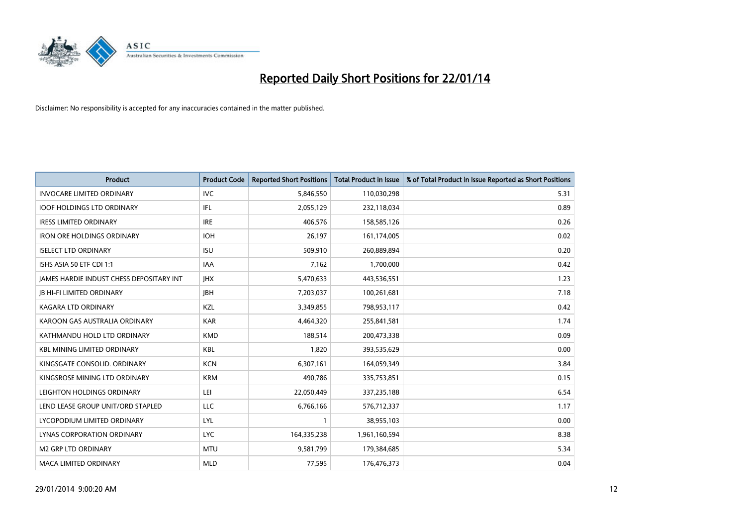

| Product                                  | <b>Product Code</b> | <b>Reported Short Positions</b> | <b>Total Product in Issue</b> | % of Total Product in Issue Reported as Short Positions |
|------------------------------------------|---------------------|---------------------------------|-------------------------------|---------------------------------------------------------|
| <b>INVOCARE LIMITED ORDINARY</b>         | <b>IVC</b>          | 5,846,550                       | 110,030,298                   | 5.31                                                    |
| <b>IOOF HOLDINGS LTD ORDINARY</b>        | IFL                 | 2,055,129                       | 232,118,034                   | 0.89                                                    |
| <b>IRESS LIMITED ORDINARY</b>            | <b>IRE</b>          | 406,576                         | 158,585,126                   | 0.26                                                    |
| <b>IRON ORE HOLDINGS ORDINARY</b>        | <b>IOH</b>          | 26,197                          | 161,174,005                   | 0.02                                                    |
| <b>ISELECT LTD ORDINARY</b>              | <b>ISU</b>          | 509,910                         | 260,889,894                   | 0.20                                                    |
| ISHS ASIA 50 ETF CDI 1:1                 | <b>IAA</b>          | 7,162                           | 1,700,000                     | 0.42                                                    |
| JAMES HARDIE INDUST CHESS DEPOSITARY INT | <b>IHX</b>          | 5,470,633                       | 443,536,551                   | 1.23                                                    |
| <b>JB HI-FI LIMITED ORDINARY</b>         | <b>JBH</b>          | 7,203,037                       | 100,261,681                   | 7.18                                                    |
| <b>KAGARA LTD ORDINARY</b>               | KZL                 | 3,349,855                       | 798,953,117                   | 0.42                                                    |
| KAROON GAS AUSTRALIA ORDINARY            | <b>KAR</b>          | 4,464,320                       | 255,841,581                   | 1.74                                                    |
| KATHMANDU HOLD LTD ORDINARY              | <b>KMD</b>          | 188,514                         | 200,473,338                   | 0.09                                                    |
| <b>KBL MINING LIMITED ORDINARY</b>       | <b>KBL</b>          | 1,820                           | 393,535,629                   | 0.00                                                    |
| KINGSGATE CONSOLID, ORDINARY             | <b>KCN</b>          | 6,307,161                       | 164,059,349                   | 3.84                                                    |
| KINGSROSE MINING LTD ORDINARY            | <b>KRM</b>          | 490,786                         | 335,753,851                   | 0.15                                                    |
| LEIGHTON HOLDINGS ORDINARY               | LEI                 | 22,050,449                      | 337,235,188                   | 6.54                                                    |
| LEND LEASE GROUP UNIT/ORD STAPLED        | LLC                 | 6,766,166                       | 576,712,337                   | 1.17                                                    |
| LYCOPODIUM LIMITED ORDINARY              | LYL                 | 1                               | 38,955,103                    | 0.00                                                    |
| LYNAS CORPORATION ORDINARY               | <b>LYC</b>          | 164,335,238                     | 1,961,160,594                 | 8.38                                                    |
| <b>M2 GRP LTD ORDINARY</b>               | <b>MTU</b>          | 9,581,799                       | 179,384,685                   | 5.34                                                    |
| <b>MACA LIMITED ORDINARY</b>             | <b>MLD</b>          | 77,595                          | 176,476,373                   | 0.04                                                    |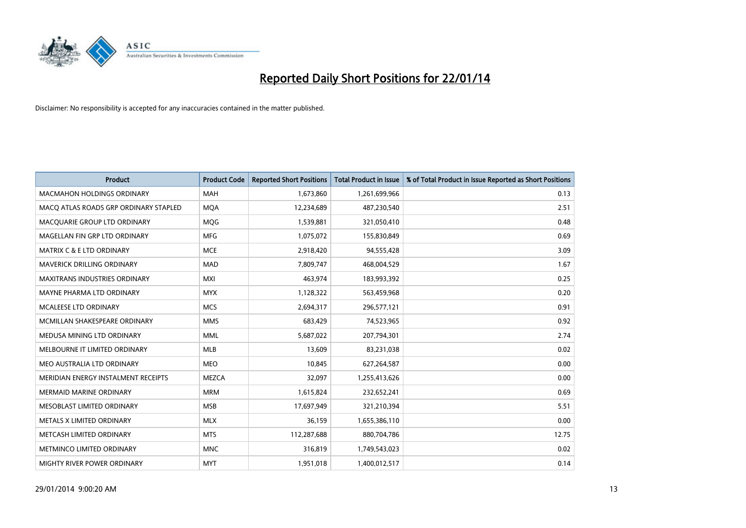

| <b>Product</b>                        | <b>Product Code</b> | <b>Reported Short Positions</b> | <b>Total Product in Issue</b> | % of Total Product in Issue Reported as Short Positions |
|---------------------------------------|---------------------|---------------------------------|-------------------------------|---------------------------------------------------------|
| <b>MACMAHON HOLDINGS ORDINARY</b>     | <b>MAH</b>          | 1,673,860                       | 1,261,699,966                 | 0.13                                                    |
| MACO ATLAS ROADS GRP ORDINARY STAPLED | <b>MQA</b>          | 12,234,689                      | 487,230,540                   | 2.51                                                    |
| MACQUARIE GROUP LTD ORDINARY          | <b>MOG</b>          | 1,539,881                       | 321,050,410                   | 0.48                                                    |
| MAGELLAN FIN GRP LTD ORDINARY         | <b>MFG</b>          | 1,075,072                       | 155,830,849                   | 0.69                                                    |
| <b>MATRIX C &amp; E LTD ORDINARY</b>  | <b>MCE</b>          | 2,918,420                       | 94,555,428                    | 3.09                                                    |
| MAVERICK DRILLING ORDINARY            | <b>MAD</b>          | 7,809,747                       | 468,004,529                   | 1.67                                                    |
| <b>MAXITRANS INDUSTRIES ORDINARY</b>  | <b>MXI</b>          | 463,974                         | 183,993,392                   | 0.25                                                    |
| MAYNE PHARMA LTD ORDINARY             | <b>MYX</b>          | 1,128,322                       | 563,459,968                   | 0.20                                                    |
| <b>MCALEESE LTD ORDINARY</b>          | <b>MCS</b>          | 2,694,317                       | 296,577,121                   | 0.91                                                    |
| MCMILLAN SHAKESPEARE ORDINARY         | <b>MMS</b>          | 683,429                         | 74,523,965                    | 0.92                                                    |
| MEDUSA MINING LTD ORDINARY            | <b>MML</b>          | 5,687,022                       | 207,794,301                   | 2.74                                                    |
| MELBOURNE IT LIMITED ORDINARY         | <b>MLB</b>          | 13,609                          | 83,231,038                    | 0.02                                                    |
| MEO AUSTRALIA LTD ORDINARY            | <b>MEO</b>          | 10,845                          | 627,264,587                   | 0.00                                                    |
| MERIDIAN ENERGY INSTALMENT RECEIPTS   | <b>MEZCA</b>        | 32,097                          | 1,255,413,626                 | 0.00                                                    |
| <b>MERMAID MARINE ORDINARY</b>        | <b>MRM</b>          | 1,615,824                       | 232,652,241                   | 0.69                                                    |
| MESOBLAST LIMITED ORDINARY            | <b>MSB</b>          | 17,697,949                      | 321,210,394                   | 5.51                                                    |
| METALS X LIMITED ORDINARY             | <b>MLX</b>          | 36,159                          | 1,655,386,110                 | 0.00                                                    |
| METCASH LIMITED ORDINARY              | <b>MTS</b>          | 112,287,688                     | 880,704,786                   | 12.75                                                   |
| METMINCO LIMITED ORDINARY             | <b>MNC</b>          | 316,819                         | 1,749,543,023                 | 0.02                                                    |
| <b>MIGHTY RIVER POWER ORDINARY</b>    | <b>MYT</b>          | 1,951,018                       | 1,400,012,517                 | 0.14                                                    |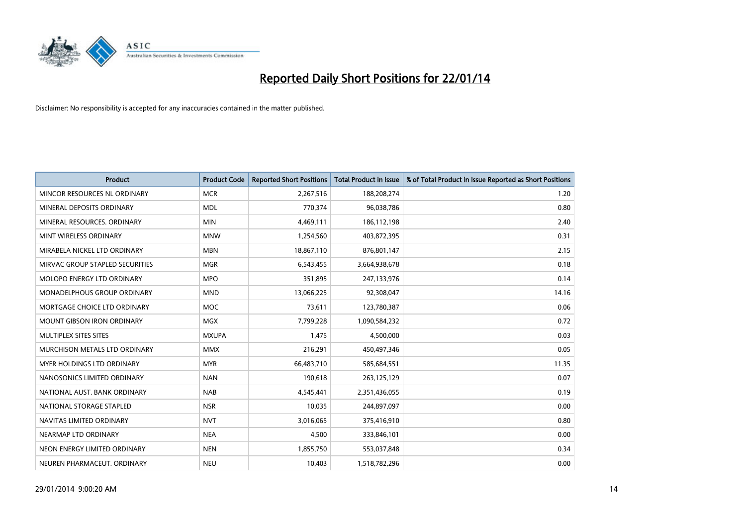

| <b>Product</b>                     | <b>Product Code</b> | <b>Reported Short Positions</b> | <b>Total Product in Issue</b> | % of Total Product in Issue Reported as Short Positions |
|------------------------------------|---------------------|---------------------------------|-------------------------------|---------------------------------------------------------|
| MINCOR RESOURCES NL ORDINARY       | <b>MCR</b>          | 2,267,516                       | 188,208,274                   | 1.20                                                    |
| MINERAL DEPOSITS ORDINARY          | <b>MDL</b>          | 770,374                         | 96,038,786                    | 0.80                                                    |
| MINERAL RESOURCES, ORDINARY        | <b>MIN</b>          | 4,469,111                       | 186,112,198                   | 2.40                                                    |
| MINT WIRELESS ORDINARY             | <b>MNW</b>          | 1,254,560                       | 403,872,395                   | 0.31                                                    |
| MIRABELA NICKEL LTD ORDINARY       | <b>MBN</b>          | 18,867,110                      | 876,801,147                   | 2.15                                                    |
| MIRVAC GROUP STAPLED SECURITIES    | <b>MGR</b>          | 6,543,455                       | 3,664,938,678                 | 0.18                                                    |
| MOLOPO ENERGY LTD ORDINARY         | <b>MPO</b>          | 351,895                         | 247,133,976                   | 0.14                                                    |
| <b>MONADELPHOUS GROUP ORDINARY</b> | <b>MND</b>          | 13,066,225                      | 92,308,047                    | 14.16                                                   |
| MORTGAGE CHOICE LTD ORDINARY       | <b>MOC</b>          | 73,611                          | 123,780,387                   | 0.06                                                    |
| <b>MOUNT GIBSON IRON ORDINARY</b>  | <b>MGX</b>          | 7,799,228                       | 1,090,584,232                 | 0.72                                                    |
| MULTIPLEX SITES SITES              | <b>MXUPA</b>        | 1,475                           | 4,500,000                     | 0.03                                                    |
| MURCHISON METALS LTD ORDINARY      | <b>MMX</b>          | 216,291                         | 450,497,346                   | 0.05                                                    |
| MYER HOLDINGS LTD ORDINARY         | <b>MYR</b>          | 66,483,710                      | 585,684,551                   | 11.35                                                   |
| NANOSONICS LIMITED ORDINARY        | <b>NAN</b>          | 190,618                         | 263,125,129                   | 0.07                                                    |
| NATIONAL AUST. BANK ORDINARY       | <b>NAB</b>          | 4,545,441                       | 2,351,436,055                 | 0.19                                                    |
| NATIONAL STORAGE STAPLED           | <b>NSR</b>          | 10,035                          | 244,897,097                   | 0.00                                                    |
| NAVITAS LIMITED ORDINARY           | <b>NVT</b>          | 3,016,065                       | 375,416,910                   | 0.80                                                    |
| NEARMAP LTD ORDINARY               | <b>NEA</b>          | 4,500                           | 333,846,101                   | 0.00                                                    |
| NEON ENERGY LIMITED ORDINARY       | <b>NEN</b>          | 1,855,750                       | 553,037,848                   | 0.34                                                    |
| NEUREN PHARMACEUT. ORDINARY        | <b>NEU</b>          | 10,403                          | 1,518,782,296                 | 0.00                                                    |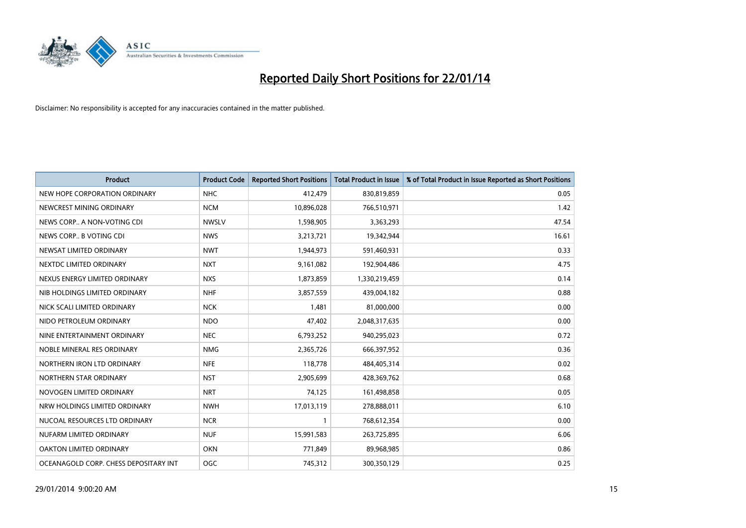

| <b>Product</b>                        | <b>Product Code</b> | <b>Reported Short Positions</b> | <b>Total Product in Issue</b> | % of Total Product in Issue Reported as Short Positions |
|---------------------------------------|---------------------|---------------------------------|-------------------------------|---------------------------------------------------------|
| NEW HOPE CORPORATION ORDINARY         | <b>NHC</b>          | 412,479                         | 830,819,859                   | 0.05                                                    |
| NEWCREST MINING ORDINARY              | <b>NCM</b>          | 10,896,028                      | 766,510,971                   | 1.42                                                    |
| NEWS CORP A NON-VOTING CDI            | <b>NWSLV</b>        | 1,598,905                       | 3,363,293                     | 47.54                                                   |
| NEWS CORP B VOTING CDI                | <b>NWS</b>          | 3,213,721                       | 19,342,944                    | 16.61                                                   |
| NEWSAT LIMITED ORDINARY               | <b>NWT</b>          | 1,944,973                       | 591,460,931                   | 0.33                                                    |
| NEXTDC LIMITED ORDINARY               | <b>NXT</b>          | 9,161,082                       | 192,904,486                   | 4.75                                                    |
| NEXUS ENERGY LIMITED ORDINARY         | <b>NXS</b>          | 1,873,859                       | 1,330,219,459                 | 0.14                                                    |
| NIB HOLDINGS LIMITED ORDINARY         | <b>NHF</b>          | 3,857,559                       | 439,004,182                   | 0.88                                                    |
| NICK SCALI LIMITED ORDINARY           | <b>NCK</b>          | 1,481                           | 81,000,000                    | 0.00                                                    |
| NIDO PETROLEUM ORDINARY               | <b>NDO</b>          | 47,402                          | 2,048,317,635                 | 0.00                                                    |
| NINE ENTERTAINMENT ORDINARY           | <b>NEC</b>          | 6,793,252                       | 940,295,023                   | 0.72                                                    |
| NOBLE MINERAL RES ORDINARY            | <b>NMG</b>          | 2,365,726                       | 666,397,952                   | 0.36                                                    |
| NORTHERN IRON LTD ORDINARY            | <b>NFE</b>          | 118,778                         | 484,405,314                   | 0.02                                                    |
| NORTHERN STAR ORDINARY                | <b>NST</b>          | 2,905,699                       | 428,369,762                   | 0.68                                                    |
| NOVOGEN LIMITED ORDINARY              | <b>NRT</b>          | 74,125                          | 161,498,858                   | 0.05                                                    |
| NRW HOLDINGS LIMITED ORDINARY         | <b>NWH</b>          | 17,013,119                      | 278,888,011                   | 6.10                                                    |
| NUCOAL RESOURCES LTD ORDINARY         | <b>NCR</b>          | $\mathbf{1}$                    | 768,612,354                   | 0.00                                                    |
| NUFARM LIMITED ORDINARY               | <b>NUF</b>          | 15,991,583                      | 263,725,895                   | 6.06                                                    |
| OAKTON LIMITED ORDINARY               | <b>OKN</b>          | 771,849                         | 89,968,985                    | 0.86                                                    |
| OCEANAGOLD CORP. CHESS DEPOSITARY INT | OGC                 | 745,312                         | 300,350,129                   | 0.25                                                    |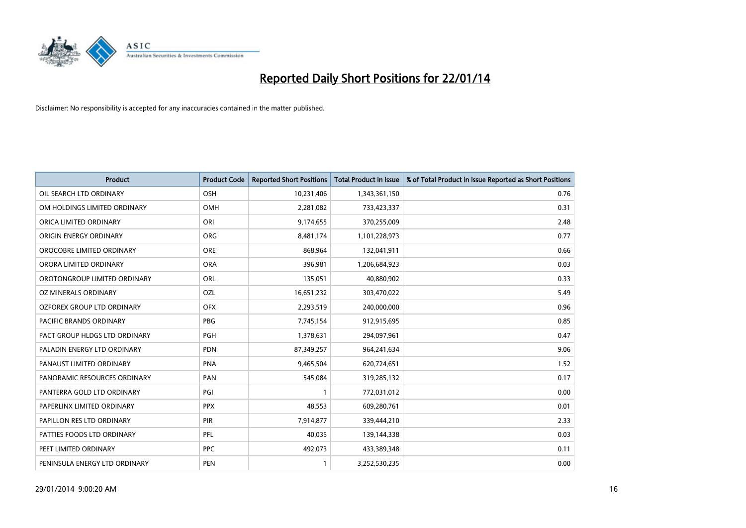

| <b>Product</b>                 | <b>Product Code</b> | <b>Reported Short Positions</b> | <b>Total Product in Issue</b> | % of Total Product in Issue Reported as Short Positions |
|--------------------------------|---------------------|---------------------------------|-------------------------------|---------------------------------------------------------|
| OIL SEARCH LTD ORDINARY        | OSH                 | 10,231,406                      | 1,343,361,150                 | 0.76                                                    |
| OM HOLDINGS LIMITED ORDINARY   | OMH                 | 2,281,082                       | 733,423,337                   | 0.31                                                    |
| ORICA LIMITED ORDINARY         | ORI                 | 9,174,655                       | 370,255,009                   | 2.48                                                    |
| ORIGIN ENERGY ORDINARY         | <b>ORG</b>          | 8,481,174                       | 1,101,228,973                 | 0.77                                                    |
| OROCOBRE LIMITED ORDINARY      | <b>ORE</b>          | 868,964                         | 132,041,911                   | 0.66                                                    |
| ORORA LIMITED ORDINARY         | <b>ORA</b>          | 396,981                         | 1,206,684,923                 | 0.03                                                    |
| OROTONGROUP LIMITED ORDINARY   | ORL                 | 135,051                         | 40,880,902                    | 0.33                                                    |
| OZ MINERALS ORDINARY           | OZL                 | 16,651,232                      | 303,470,022                   | 5.49                                                    |
| OZFOREX GROUP LTD ORDINARY     | <b>OFX</b>          | 2,293,519                       | 240,000,000                   | 0.96                                                    |
| <b>PACIFIC BRANDS ORDINARY</b> | <b>PBG</b>          | 7,745,154                       | 912,915,695                   | 0.85                                                    |
| PACT GROUP HLDGS LTD ORDINARY  | <b>PGH</b>          | 1,378,631                       | 294,097,961                   | 0.47                                                    |
| PALADIN ENERGY LTD ORDINARY    | <b>PDN</b>          | 87,349,257                      | 964,241,634                   | 9.06                                                    |
| PANAUST LIMITED ORDINARY       | <b>PNA</b>          | 9,465,504                       | 620,724,651                   | 1.52                                                    |
| PANORAMIC RESOURCES ORDINARY   | PAN                 | 545,084                         | 319,285,132                   | 0.17                                                    |
| PANTERRA GOLD LTD ORDINARY     | PGI                 | $\mathbf{1}$                    | 772,031,012                   | 0.00                                                    |
| PAPERLINX LIMITED ORDINARY     | <b>PPX</b>          | 48,553                          | 609,280,761                   | 0.01                                                    |
| PAPILLON RES LTD ORDINARY      | PIR                 | 7,914,877                       | 339,444,210                   | 2.33                                                    |
| PATTIES FOODS LTD ORDINARY     | <b>PFL</b>          | 40,035                          | 139,144,338                   | 0.03                                                    |
| PEET LIMITED ORDINARY          | <b>PPC</b>          | 492,073                         | 433,389,348                   | 0.11                                                    |
| PENINSULA ENERGY LTD ORDINARY  | <b>PEN</b>          | $\mathbf{1}$                    | 3,252,530,235                 | 0.00                                                    |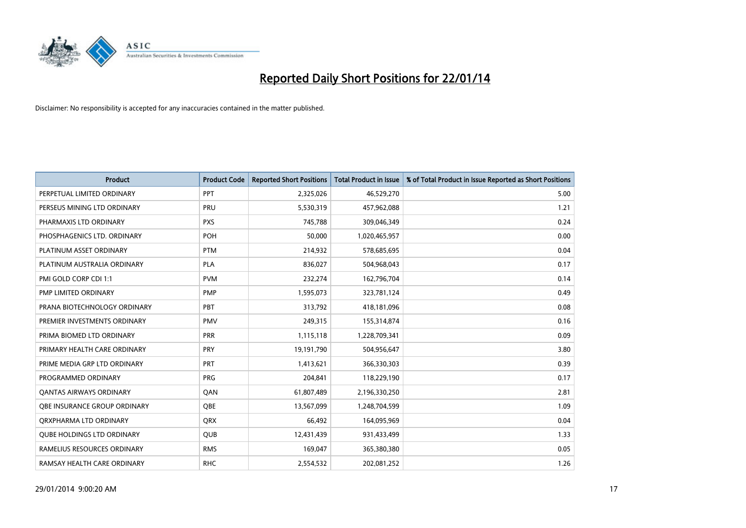

| <b>Product</b>                    | <b>Product Code</b> | <b>Reported Short Positions</b> | <b>Total Product in Issue</b> | % of Total Product in Issue Reported as Short Positions |
|-----------------------------------|---------------------|---------------------------------|-------------------------------|---------------------------------------------------------|
| PERPETUAL LIMITED ORDINARY        | PPT                 | 2,325,026                       | 46,529,270                    | 5.00                                                    |
| PERSEUS MINING LTD ORDINARY       | PRU                 | 5,530,319                       | 457,962,088                   | 1.21                                                    |
| PHARMAXIS LTD ORDINARY            | <b>PXS</b>          | 745,788                         | 309,046,349                   | 0.24                                                    |
| PHOSPHAGENICS LTD. ORDINARY       | POH                 | 50,000                          | 1,020,465,957                 | 0.00                                                    |
| PLATINUM ASSET ORDINARY           | <b>PTM</b>          | 214,932                         | 578,685,695                   | 0.04                                                    |
| PLATINUM AUSTRALIA ORDINARY       | <b>PLA</b>          | 836,027                         | 504,968,043                   | 0.17                                                    |
| PMI GOLD CORP CDI 1:1             | <b>PVM</b>          | 232,274                         | 162,796,704                   | 0.14                                                    |
| PMP LIMITED ORDINARY              | <b>PMP</b>          | 1,595,073                       | 323,781,124                   | 0.49                                                    |
| PRANA BIOTECHNOLOGY ORDINARY      | <b>PBT</b>          | 313,792                         | 418,181,096                   | 0.08                                                    |
| PREMIER INVESTMENTS ORDINARY      | <b>PMV</b>          | 249,315                         | 155,314,874                   | 0.16                                                    |
| PRIMA BIOMED LTD ORDINARY         | <b>PRR</b>          | 1,115,118                       | 1,228,709,341                 | 0.09                                                    |
| PRIMARY HEALTH CARE ORDINARY      | <b>PRY</b>          | 19,191,790                      | 504,956,647                   | 3.80                                                    |
| PRIME MEDIA GRP LTD ORDINARY      | PRT                 | 1,413,621                       | 366,330,303                   | 0.39                                                    |
| PROGRAMMED ORDINARY               | <b>PRG</b>          | 204,841                         | 118,229,190                   | 0.17                                                    |
| <b>QANTAS AIRWAYS ORDINARY</b>    | QAN                 | 61,807,489                      | 2,196,330,250                 | 2.81                                                    |
| OBE INSURANCE GROUP ORDINARY      | QBE                 | 13,567,099                      | 1,248,704,599                 | 1.09                                                    |
| ORXPHARMA LTD ORDINARY            | QRX                 | 66,492                          | 164,095,969                   | 0.04                                                    |
| <b>OUBE HOLDINGS LTD ORDINARY</b> | <b>QUB</b>          | 12,431,439                      | 931,433,499                   | 1.33                                                    |
| RAMELIUS RESOURCES ORDINARY       | <b>RMS</b>          | 169,047                         | 365,380,380                   | 0.05                                                    |
| RAMSAY HEALTH CARE ORDINARY       | <b>RHC</b>          | 2,554,532                       | 202,081,252                   | 1.26                                                    |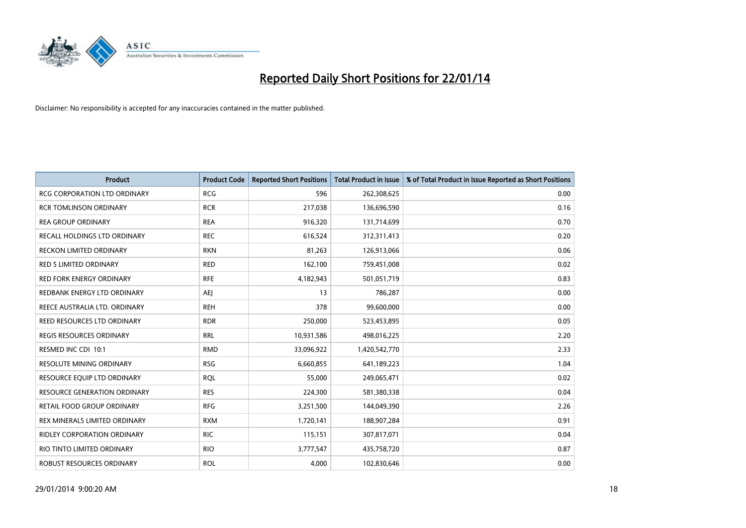

| Product                             | <b>Product Code</b> | <b>Reported Short Positions</b> | <b>Total Product in Issue</b> | % of Total Product in Issue Reported as Short Positions |
|-------------------------------------|---------------------|---------------------------------|-------------------------------|---------------------------------------------------------|
| <b>RCG CORPORATION LTD ORDINARY</b> | <b>RCG</b>          | 596                             | 262,308,625                   | 0.00                                                    |
| <b>RCR TOMLINSON ORDINARY</b>       | <b>RCR</b>          | 217,038                         | 136,696,590                   | 0.16                                                    |
| <b>REA GROUP ORDINARY</b>           | <b>REA</b>          | 916,320                         | 131,714,699                   | 0.70                                                    |
| RECALL HOLDINGS LTD ORDINARY        | <b>REC</b>          | 616,524                         | 312,311,413                   | 0.20                                                    |
| <b>RECKON LIMITED ORDINARY</b>      | <b>RKN</b>          | 81,263                          | 126,913,066                   | 0.06                                                    |
| RED 5 LIMITED ORDINARY              | <b>RED</b>          | 162,100                         | 759,451,008                   | 0.02                                                    |
| <b>RED FORK ENERGY ORDINARY</b>     | <b>RFE</b>          | 4,182,943                       | 501,051,719                   | 0.83                                                    |
| REDBANK ENERGY LTD ORDINARY         | AEJ                 | 13                              | 786,287                       | 0.00                                                    |
| REECE AUSTRALIA LTD. ORDINARY       | <b>REH</b>          | 378                             | 99,600,000                    | 0.00                                                    |
| REED RESOURCES LTD ORDINARY         | <b>RDR</b>          | 250,000                         | 523,453,895                   | 0.05                                                    |
| REGIS RESOURCES ORDINARY            | <b>RRL</b>          | 10,931,586                      | 498,016,225                   | 2.20                                                    |
| RESMED INC CDI 10:1                 | <b>RMD</b>          | 33,096,922                      | 1,420,542,770                 | 2.33                                                    |
| <b>RESOLUTE MINING ORDINARY</b>     | <b>RSG</b>          | 6,660,855                       | 641,189,223                   | 1.04                                                    |
| RESOURCE EQUIP LTD ORDINARY         | <b>RQL</b>          | 55,000                          | 249,065,471                   | 0.02                                                    |
| <b>RESOURCE GENERATION ORDINARY</b> | <b>RES</b>          | 224,300                         | 581,380,338                   | 0.04                                                    |
| RETAIL FOOD GROUP ORDINARY          | <b>RFG</b>          | 3,251,500                       | 144,049,390                   | 2.26                                                    |
| REX MINERALS LIMITED ORDINARY       | <b>RXM</b>          | 1,720,141                       | 188,907,284                   | 0.91                                                    |
| <b>RIDLEY CORPORATION ORDINARY</b>  | <b>RIC</b>          | 115,151                         | 307,817,071                   | 0.04                                                    |
| RIO TINTO LIMITED ORDINARY          | <b>RIO</b>          | 3,777,547                       | 435,758,720                   | 0.87                                                    |
| ROBUST RESOURCES ORDINARY           | <b>ROL</b>          | 4,000                           | 102,830,646                   | 0.00                                                    |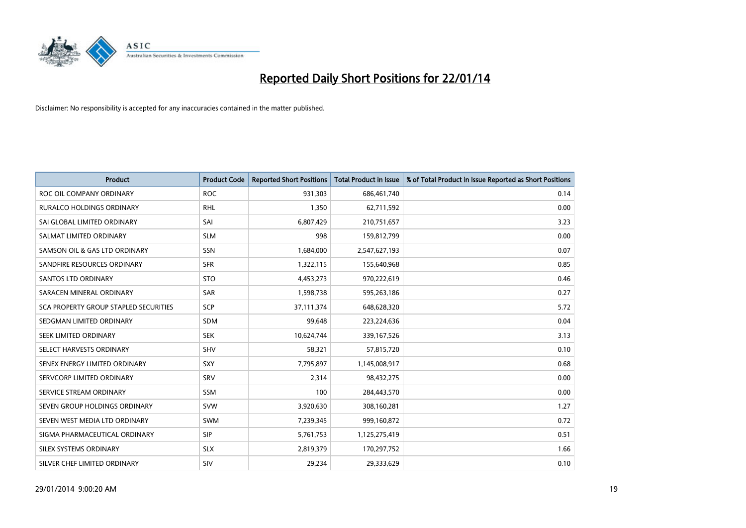

| <b>Product</b>                        | <b>Product Code</b> | <b>Reported Short Positions</b> | <b>Total Product in Issue</b> | % of Total Product in Issue Reported as Short Positions |
|---------------------------------------|---------------------|---------------------------------|-------------------------------|---------------------------------------------------------|
| ROC OIL COMPANY ORDINARY              | <b>ROC</b>          | 931,303                         | 686,461,740                   | 0.14                                                    |
| <b>RURALCO HOLDINGS ORDINARY</b>      | <b>RHL</b>          | 1,350                           | 62,711,592                    | 0.00                                                    |
| SAI GLOBAL LIMITED ORDINARY           | SAI                 | 6,807,429                       | 210,751,657                   | 3.23                                                    |
| SALMAT LIMITED ORDINARY               | <b>SLM</b>          | 998                             | 159,812,799                   | 0.00                                                    |
| SAMSON OIL & GAS LTD ORDINARY         | SSN                 | 1,684,000                       | 2,547,627,193                 | 0.07                                                    |
| SANDFIRE RESOURCES ORDINARY           | <b>SFR</b>          | 1,322,115                       | 155,640,968                   | 0.85                                                    |
| SANTOS LTD ORDINARY                   | <b>STO</b>          | 4,453,273                       | 970,222,619                   | 0.46                                                    |
| SARACEN MINERAL ORDINARY              | SAR                 | 1,598,738                       | 595,263,186                   | 0.27                                                    |
| SCA PROPERTY GROUP STAPLED SECURITIES | <b>SCP</b>          | 37,111,374                      | 648,628,320                   | 5.72                                                    |
| SEDGMAN LIMITED ORDINARY              | <b>SDM</b>          | 99,648                          | 223,224,636                   | 0.04                                                    |
| SEEK LIMITED ORDINARY                 | <b>SEK</b>          | 10,624,744                      | 339,167,526                   | 3.13                                                    |
| SELECT HARVESTS ORDINARY              | SHV                 | 58,321                          | 57,815,720                    | 0.10                                                    |
| SENEX ENERGY LIMITED ORDINARY         | <b>SXY</b>          | 7,795,897                       | 1,145,008,917                 | 0.68                                                    |
| SERVCORP LIMITED ORDINARY             | SRV                 | 2,314                           | 98,432,275                    | 0.00                                                    |
| SERVICE STREAM ORDINARY               | <b>SSM</b>          | 100                             | 284,443,570                   | 0.00                                                    |
| SEVEN GROUP HOLDINGS ORDINARY         | <b>SVW</b>          | 3,920,630                       | 308,160,281                   | 1.27                                                    |
| SEVEN WEST MEDIA LTD ORDINARY         | SWM                 | 7,239,345                       | 999,160,872                   | 0.72                                                    |
| SIGMA PHARMACEUTICAL ORDINARY         | <b>SIP</b>          | 5,761,753                       | 1,125,275,419                 | 0.51                                                    |
| SILEX SYSTEMS ORDINARY                | <b>SLX</b>          | 2,819,379                       | 170,297,752                   | 1.66                                                    |
| SILVER CHEF LIMITED ORDINARY          | SIV                 | 29,234                          | 29,333,629                    | 0.10                                                    |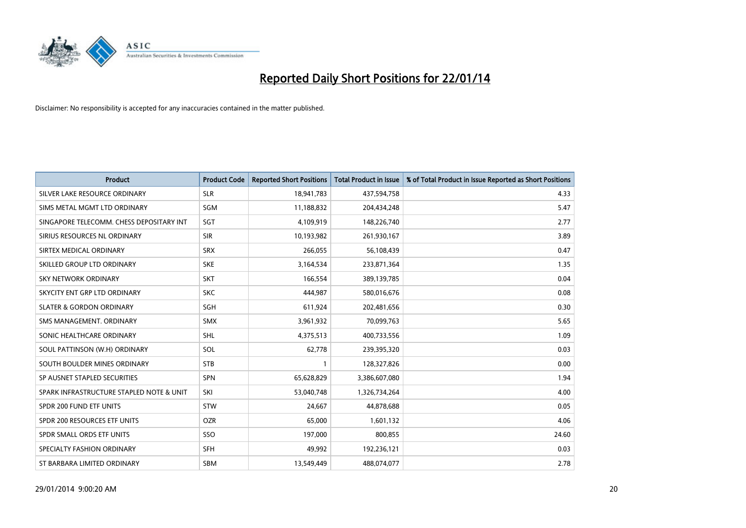

| <b>Product</b>                           | <b>Product Code</b> | <b>Reported Short Positions</b> | <b>Total Product in Issue</b> | % of Total Product in Issue Reported as Short Positions |
|------------------------------------------|---------------------|---------------------------------|-------------------------------|---------------------------------------------------------|
| SILVER LAKE RESOURCE ORDINARY            | <b>SLR</b>          | 18,941,783                      | 437,594,758                   | 4.33                                                    |
| SIMS METAL MGMT LTD ORDINARY             | <b>SGM</b>          | 11,188,832                      | 204,434,248                   | 5.47                                                    |
| SINGAPORE TELECOMM. CHESS DEPOSITARY INT | <b>SGT</b>          | 4,109,919                       | 148,226,740                   | 2.77                                                    |
| SIRIUS RESOURCES NL ORDINARY             | <b>SIR</b>          | 10,193,982                      | 261,930,167                   | 3.89                                                    |
| SIRTEX MEDICAL ORDINARY                  | <b>SRX</b>          | 266,055                         | 56,108,439                    | 0.47                                                    |
| SKILLED GROUP LTD ORDINARY               | <b>SKE</b>          | 3,164,534                       | 233,871,364                   | 1.35                                                    |
| <b>SKY NETWORK ORDINARY</b>              | <b>SKT</b>          | 166.554                         | 389,139,785                   | 0.04                                                    |
| SKYCITY ENT GRP LTD ORDINARY             | <b>SKC</b>          | 444.987                         | 580,016,676                   | 0.08                                                    |
| <b>SLATER &amp; GORDON ORDINARY</b>      | SGH                 | 611,924                         | 202,481,656                   | 0.30                                                    |
| SMS MANAGEMENT, ORDINARY                 | <b>SMX</b>          | 3,961,932                       | 70,099,763                    | 5.65                                                    |
| SONIC HEALTHCARE ORDINARY                | SHL                 | 4,375,513                       | 400,733,556                   | 1.09                                                    |
| SOUL PATTINSON (W.H) ORDINARY            | SOL                 | 62,778                          | 239,395,320                   | 0.03                                                    |
| SOUTH BOULDER MINES ORDINARY             | <b>STB</b>          | 1                               | 128,327,826                   | 0.00                                                    |
| SP AUSNET STAPLED SECURITIES             | <b>SPN</b>          | 65,628,829                      | 3,386,607,080                 | 1.94                                                    |
| SPARK INFRASTRUCTURE STAPLED NOTE & UNIT | SKI                 | 53,040,748                      | 1,326,734,264                 | 4.00                                                    |
| SPDR 200 FUND ETF UNITS                  | <b>STW</b>          | 24,667                          | 44,878,688                    | 0.05                                                    |
| SPDR 200 RESOURCES ETF UNITS             | <b>OZR</b>          | 65,000                          | 1,601,132                     | 4.06                                                    |
| SPDR SMALL ORDS ETF UNITS                | SSO                 | 197,000                         | 800,855                       | 24.60                                                   |
| SPECIALTY FASHION ORDINARY               | <b>SFH</b>          | 49.992                          | 192,236,121                   | 0.03                                                    |
| ST BARBARA LIMITED ORDINARY              | <b>SBM</b>          | 13,549,449                      | 488,074,077                   | 2.78                                                    |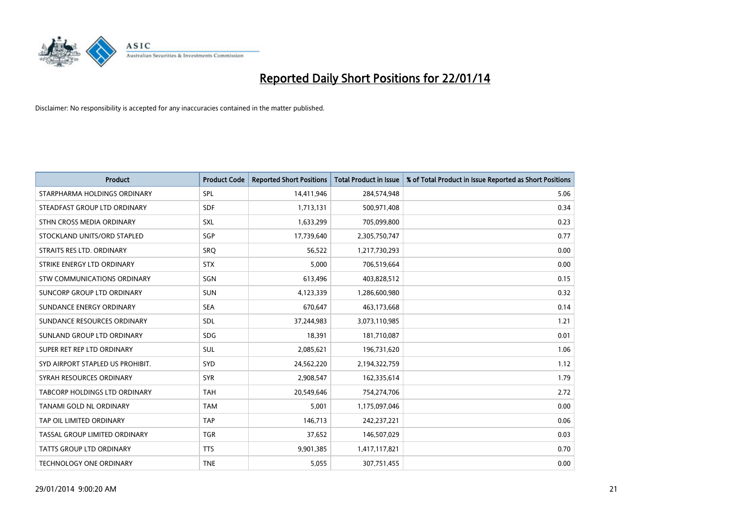

| <b>Product</b>                   | <b>Product Code</b> | <b>Reported Short Positions</b> | <b>Total Product in Issue</b> | % of Total Product in Issue Reported as Short Positions |
|----------------------------------|---------------------|---------------------------------|-------------------------------|---------------------------------------------------------|
| STARPHARMA HOLDINGS ORDINARY     | SPL                 | 14,411,946                      | 284,574,948                   | 5.06                                                    |
| STEADFAST GROUP LTD ORDINARY     | <b>SDF</b>          | 1,713,131                       | 500,971,408                   | 0.34                                                    |
| STHN CROSS MEDIA ORDINARY        | <b>SXL</b>          | 1,633,299                       | 705,099,800                   | 0.23                                                    |
| STOCKLAND UNITS/ORD STAPLED      | SGP                 | 17,739,640                      | 2,305,750,747                 | 0.77                                                    |
| STRAITS RES LTD. ORDINARY        | SRO                 | 56,522                          | 1,217,730,293                 | 0.00                                                    |
| STRIKE ENERGY LTD ORDINARY       | <b>STX</b>          | 5,000                           | 706,519,664                   | 0.00                                                    |
| STW COMMUNICATIONS ORDINARY      | SGN                 | 613,496                         | 403,828,512                   | 0.15                                                    |
| SUNCORP GROUP LTD ORDINARY       | <b>SUN</b>          | 4,123,339                       | 1,286,600,980                 | 0.32                                                    |
| SUNDANCE ENERGY ORDINARY         | <b>SEA</b>          | 670,647                         | 463,173,668                   | 0.14                                                    |
| SUNDANCE RESOURCES ORDINARY      | <b>SDL</b>          | 37,244,983                      | 3,073,110,985                 | 1.21                                                    |
| SUNLAND GROUP LTD ORDINARY       | <b>SDG</b>          | 18,391                          | 181,710,087                   | 0.01                                                    |
| SUPER RET REP LTD ORDINARY       | SUL                 | 2,085,621                       | 196,731,620                   | 1.06                                                    |
| SYD AIRPORT STAPLED US PROHIBIT. | <b>SYD</b>          | 24,562,220                      | 2,194,322,759                 | 1.12                                                    |
| SYRAH RESOURCES ORDINARY         | <b>SYR</b>          | 2,908,547                       | 162,335,614                   | 1.79                                                    |
| TABCORP HOLDINGS LTD ORDINARY    | <b>TAH</b>          | 20,549,646                      | 754,274,706                   | 2.72                                                    |
| TANAMI GOLD NL ORDINARY          | <b>TAM</b>          | 5,001                           | 1,175,097,046                 | 0.00                                                    |
| TAP OIL LIMITED ORDINARY         | <b>TAP</b>          | 146,713                         | 242,237,221                   | 0.06                                                    |
| TASSAL GROUP LIMITED ORDINARY    | <b>TGR</b>          | 37,652                          | 146,507,029                   | 0.03                                                    |
| <b>TATTS GROUP LTD ORDINARY</b>  | <b>TTS</b>          | 9,901,385                       | 1,417,117,821                 | 0.70                                                    |
| <b>TECHNOLOGY ONE ORDINARY</b>   | <b>TNE</b>          | 5,055                           | 307,751,455                   | 0.00                                                    |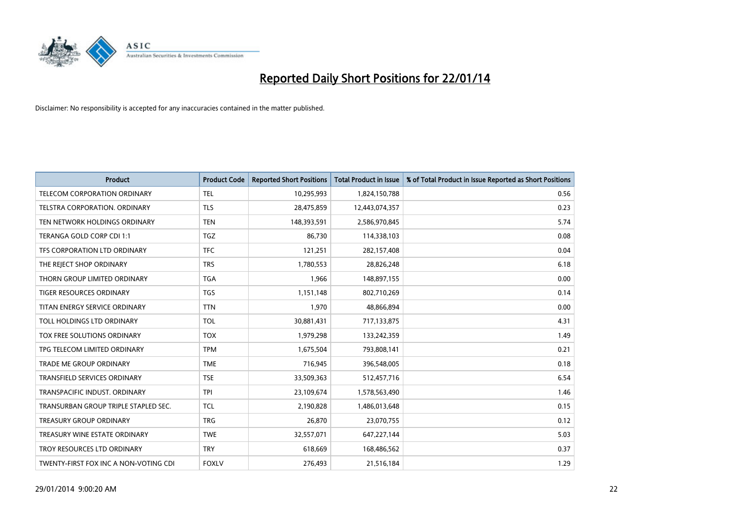

| <b>Product</b>                        | <b>Product Code</b> | <b>Reported Short Positions</b> | <b>Total Product in Issue</b> | % of Total Product in Issue Reported as Short Positions |
|---------------------------------------|---------------------|---------------------------------|-------------------------------|---------------------------------------------------------|
| TELECOM CORPORATION ORDINARY          | <b>TEL</b>          | 10,295,993                      | 1,824,150,788                 | 0.56                                                    |
| TELSTRA CORPORATION. ORDINARY         | <b>TLS</b>          | 28,475,859                      | 12,443,074,357                | 0.23                                                    |
| TEN NETWORK HOLDINGS ORDINARY         | <b>TEN</b>          | 148,393,591                     | 2,586,970,845                 | 5.74                                                    |
| TERANGA GOLD CORP CDI 1:1             | <b>TGZ</b>          | 86,730                          | 114,338,103                   | 0.08                                                    |
| TFS CORPORATION LTD ORDINARY          | <b>TFC</b>          | 121,251                         | 282,157,408                   | 0.04                                                    |
| THE REJECT SHOP ORDINARY              | <b>TRS</b>          | 1,780,553                       | 28,826,248                    | 6.18                                                    |
| THORN GROUP LIMITED ORDINARY          | <b>TGA</b>          | 1,966                           | 148,897,155                   | 0.00                                                    |
| TIGER RESOURCES ORDINARY              | <b>TGS</b>          | 1,151,148                       | 802,710,269                   | 0.14                                                    |
| TITAN ENERGY SERVICE ORDINARY         | <b>TTN</b>          | 1,970                           | 48,866,894                    | 0.00                                                    |
| TOLL HOLDINGS LTD ORDINARY            | <b>TOL</b>          | 30,881,431                      | 717,133,875                   | 4.31                                                    |
| TOX FREE SOLUTIONS ORDINARY           | <b>TOX</b>          | 1,979,298                       | 133,242,359                   | 1.49                                                    |
| TPG TELECOM LIMITED ORDINARY          | <b>TPM</b>          | 1,675,504                       | 793,808,141                   | 0.21                                                    |
| <b>TRADE ME GROUP ORDINARY</b>        | <b>TME</b>          | 716,945                         | 396,548,005                   | 0.18                                                    |
| <b>TRANSFIELD SERVICES ORDINARY</b>   | <b>TSE</b>          | 33,509,363                      | 512,457,716                   | 6.54                                                    |
| TRANSPACIFIC INDUST, ORDINARY         | <b>TPI</b>          | 23,109,674                      | 1,578,563,490                 | 1.46                                                    |
| TRANSURBAN GROUP TRIPLE STAPLED SEC.  | <b>TCL</b>          | 2,190,828                       | 1,486,013,648                 | 0.15                                                    |
| <b>TREASURY GROUP ORDINARY</b>        | <b>TRG</b>          | 26,870                          | 23,070,755                    | 0.12                                                    |
| TREASURY WINE ESTATE ORDINARY         | <b>TWE</b>          | 32,557,071                      | 647,227,144                   | 5.03                                                    |
| TROY RESOURCES LTD ORDINARY           | <b>TRY</b>          | 618,669                         | 168,486,562                   | 0.37                                                    |
| TWENTY-FIRST FOX INC A NON-VOTING CDI | <b>FOXLV</b>        | 276,493                         | 21,516,184                    | 1.29                                                    |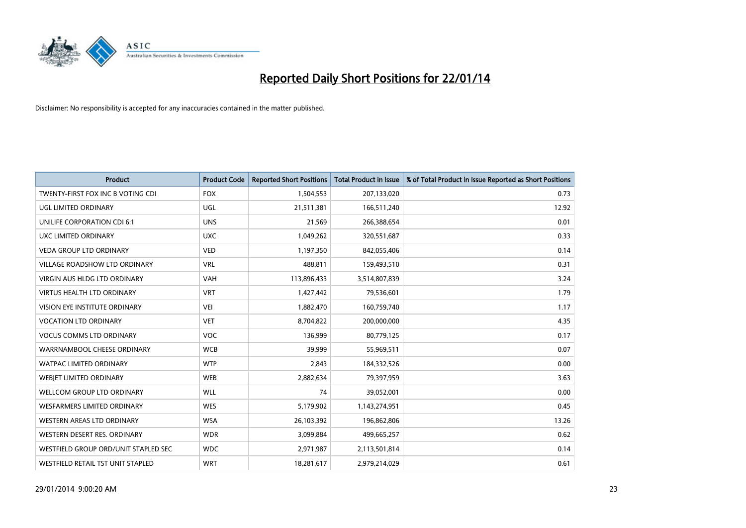

| <b>Product</b>                       | <b>Product Code</b> | <b>Reported Short Positions</b> | <b>Total Product in Issue</b> | % of Total Product in Issue Reported as Short Positions |
|--------------------------------------|---------------------|---------------------------------|-------------------------------|---------------------------------------------------------|
| TWENTY-FIRST FOX INC B VOTING CDI    | <b>FOX</b>          | 1,504,553                       | 207,133,020                   | 0.73                                                    |
| UGL LIMITED ORDINARY                 | UGL                 | 21,511,381                      | 166,511,240                   | 12.92                                                   |
| UNILIFE CORPORATION CDI 6:1          | <b>UNS</b>          | 21,569                          | 266,388,654                   | 0.01                                                    |
| UXC LIMITED ORDINARY                 | <b>UXC</b>          | 1,049,262                       | 320,551,687                   | 0.33                                                    |
| <b>VEDA GROUP LTD ORDINARY</b>       | <b>VED</b>          | 1,197,350                       | 842,055,406                   | 0.14                                                    |
| <b>VILLAGE ROADSHOW LTD ORDINARY</b> | <b>VRL</b>          | 488,811                         | 159,493,510                   | 0.31                                                    |
| <b>VIRGIN AUS HLDG LTD ORDINARY</b>  | <b>VAH</b>          | 113,896,433                     | 3,514,807,839                 | 3.24                                                    |
| <b>VIRTUS HEALTH LTD ORDINARY</b>    | <b>VRT</b>          | 1,427,442                       | 79,536,601                    | 1.79                                                    |
| VISION EYE INSTITUTE ORDINARY        | <b>VEI</b>          | 1,882,470                       | 160,759,740                   | 1.17                                                    |
| <b>VOCATION LTD ORDINARY</b>         | <b>VET</b>          | 8,704,822                       | 200,000,000                   | 4.35                                                    |
| <b>VOCUS COMMS LTD ORDINARY</b>      | <b>VOC</b>          | 136,999                         | 80,779,125                    | 0.17                                                    |
| WARRNAMBOOL CHEESE ORDINARY          | <b>WCB</b>          | 39,999                          | 55,969,511                    | 0.07                                                    |
| <b>WATPAC LIMITED ORDINARY</b>       | <b>WTP</b>          | 2,843                           | 184,332,526                   | 0.00                                                    |
| <b>WEBJET LIMITED ORDINARY</b>       | <b>WEB</b>          | 2,882,634                       | 79,397,959                    | 3.63                                                    |
| <b>WELLCOM GROUP LTD ORDINARY</b>    | WLL                 | 74                              | 39,052,001                    | 0.00                                                    |
| <b>WESFARMERS LIMITED ORDINARY</b>   | <b>WES</b>          | 5,179,902                       | 1,143,274,951                 | 0.45                                                    |
| WESTERN AREAS LTD ORDINARY           | <b>WSA</b>          | 26,103,392                      | 196,862,806                   | 13.26                                                   |
| WESTERN DESERT RES. ORDINARY         | <b>WDR</b>          | 3,099,884                       | 499,665,257                   | 0.62                                                    |
| WESTFIELD GROUP ORD/UNIT STAPLED SEC | <b>WDC</b>          | 2,971,987                       | 2,113,501,814                 | 0.14                                                    |
| WESTFIELD RETAIL TST UNIT STAPLED    | <b>WRT</b>          | 18,281,617                      | 2,979,214,029                 | 0.61                                                    |